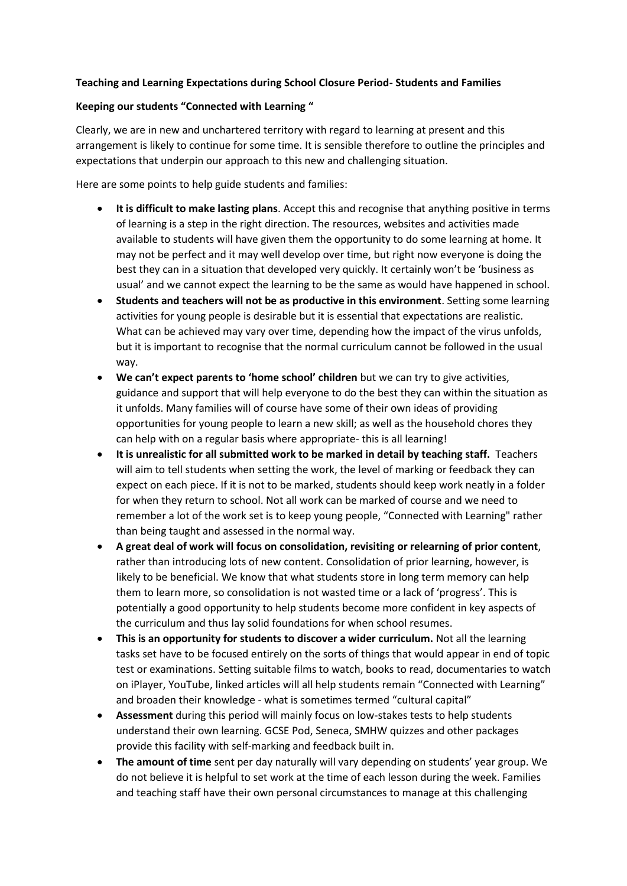## **Teaching and Learning Expectations during School Closure Period- Students and Families**

## **Keeping our students "Connected with Learning "**

Clearly, we are in new and unchartered territory with regard to learning at present and this arrangement is likely to continue for some time. It is sensible therefore to outline the principles and expectations that underpin our approach to this new and challenging situation.

Here are some points to help guide students and families:

- **It is difficult to make lasting plans**. Accept this and recognise that anything positive in terms of learning is a step in the right direction. The resources, websites and activities made available to students will have given them the opportunity to do some learning at home. It may not be perfect and it may well develop over time, but right now everyone is doing the best they can in a situation that developed very quickly. It certainly won't be 'business as usual' and we cannot expect the learning to be the same as would have happened in school.
- **Students and teachers will not be as productive in this environment**. Setting some learning activities for young people is desirable but it is essential that expectations are realistic. What can be achieved may vary over time, depending how the impact of the virus unfolds, but it is important to recognise that the normal curriculum cannot be followed in the usual way.
- **We can't expect parents to 'home school' children** but we can try to give activities, guidance and support that will help everyone to do the best they can within the situation as it unfolds. Many families will of course have some of their own ideas of providing opportunities for young people to learn a new skill; as well as the household chores they can help with on a regular basis where appropriate- this is all learning!
- **It is unrealistic for all submitted work to be marked in detail by teaching staff.** Teachers will aim to tell students when setting the work, the level of marking or feedback they can expect on each piece. If it is not to be marked, students should keep work neatly in a folder for when they return to school. Not all work can be marked of course and we need to remember a lot of the work set is to keep young people, "Connected with Learning" rather than being taught and assessed in the normal way.
- **A great deal of work will focus on consolidation, revisiting or relearning of prior content**, rather than introducing lots of new content. Consolidation of prior learning, however, is likely to be beneficial. We know that what students store in long term memory can help them to learn more, so consolidation is not wasted time or a lack of 'progress'. This is potentially a good opportunity to help students become more confident in key aspects of the curriculum and thus lay solid foundations for when school resumes.
- **This is an opportunity for students to discover a wider curriculum.** Not all the learning tasks set have to be focused entirely on the sorts of things that would appear in end of topic test or examinations. Setting suitable films to watch, books to read, documentaries to watch on iPlayer, YouTube, linked articles will all help students remain "Connected with Learning" and broaden their knowledge - what is sometimes termed "cultural capital"
- **Assessment** during this period will mainly focus on low-stakes tests to help students understand their own learning. GCSE Pod, Seneca, SMHW quizzes and other packages provide this facility with self-marking and feedback built in.
- **The amount of time** sent per day naturally will vary depending on students' year group. We do not believe it is helpful to set work at the time of each lesson during the week. Families and teaching staff have their own personal circumstances to manage at this challenging